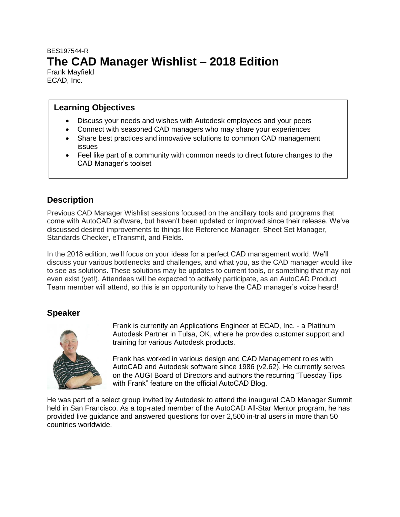# BES197544-R **The CAD Manager Wishlist – 2018 Edition**

Frank Mayfield ECAD, Inc.

#### **Learning Objectives**

- Discuss your needs and wishes with Autodesk employees and your peers
- Connect with seasoned CAD managers who may share your experiences
- Share best practices and innovative solutions to common CAD management issues
- Feel like part of a community with common needs to direct future changes to the CAD Manager's toolset

## **Description**

Previous CAD Manager Wishlist sessions focused on the ancillary tools and programs that come with AutoCAD software, but haven't been updated or improved since their release. We've discussed desired improvements to things like Reference Manager, Sheet Set Manager, Standards Checker, eTransmit, and Fields.

In the 2018 edition, we'll focus on your ideas for a perfect CAD management world. We'll discuss your various bottlenecks and challenges, and what you, as the CAD manager would like to see as solutions. These solutions may be updates to current tools, or something that may not even exist (yet!). Attendees will be expected to actively participate, as an AutoCAD Product Team member will attend, so this is an opportunity to have the CAD manager's voice heard!

## **Speaker**



Frank is currently an Applications Engineer at ECAD, Inc. - a Platinum Autodesk Partner in Tulsa, OK, where he provides customer support and training for various Autodesk products.

Frank has worked in various design and CAD Management roles with AutoCAD and Autodesk software since 1986 (v2.62). He currently serves on the AUGI Board of Directors and authors the recurring "Tuesday Tips with Frank" feature on the official AutoCAD Blog.

He was part of a select group invited by Autodesk to attend the inaugural CAD Manager Summit held in San Francisco. As a top-rated member of the AutoCAD All-Star Mentor program, he has provided live guidance and answered questions for over 2,500 in-trial users in more than 50 countries worldwide.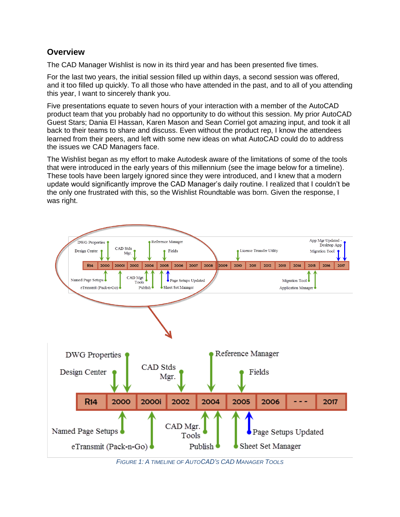### **Overview**

The CAD Manager Wishlist is now in its third year and has been presented five times.

For the last two years, the initial session filled up within days, a second session was offered, and it too filled up quickly. To all those who have attended in the past, and to all of you attending this year, I want to sincerely thank you.

Five presentations equate to seven hours of your interaction with a member of the AutoCAD product team that you probably had no opportunity to do without this session. My prior AutoCAD Guest Stars; Dania El Hassan, Karen Mason and Sean Corriel got amazing input, and took it all back to their teams to share and discuss. Even without the product rep, I know the attendees learned from their peers, and left with some new ideas on what AutoCAD could do to address the issues we CAD Managers face.

The Wishlist began as my effort to make Autodesk aware of the limitations of some of the tools that were introduced in the early years of this millennium (see the image below for a timeline). These tools have been largely ignored since they were introduced, and I knew that a modern update would significantly improve the CAD Manager's daily routine. I realized that I couldn't be the only one frustrated with this, so the Wishlist Roundtable was born. Given the response, I was right.



*FIGURE 1: A TIMELINE OF AUTOCAD'S CAD MANAGER TOOLS*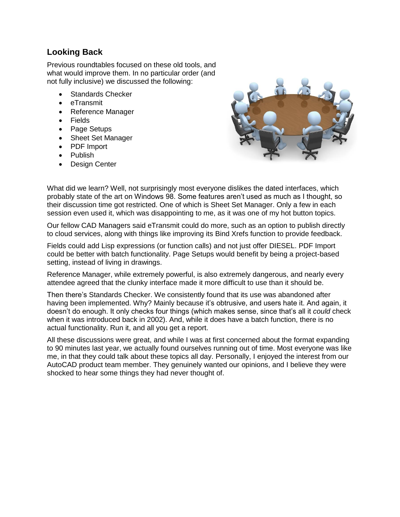## **Looking Back**

Previous roundtables focused on these old tools, and what would improve them. In no particular order (and not fully inclusive) we discussed the following:

- Standards Checker
- eTransmit
- Reference Manager
- Fields
- Page Setups
- Sheet Set Manager
- PDF Import
- Publish
- Design Center



What did we learn? Well, not surprisingly most everyone dislikes the dated interfaces, which probably state of the art on Windows 98. Some features aren't used as much as I thought, so their discussion time got restricted. One of which is Sheet Set Manager. Only a few in each session even used it, which was disappointing to me, as it was one of my hot button topics.

Our fellow CAD Managers said eTransmit could do more, such as an option to publish directly to cloud services, along with things like improving its Bind Xrefs function to provide feedback.

Fields could add Lisp expressions (or function calls) and not just offer DIESEL. PDF Import could be better with batch functionality. Page Setups would benefit by being a project-based setting, instead of living in drawings.

Reference Manager, while extremely powerful, is also extremely dangerous, and nearly every attendee agreed that the clunky interface made it more difficult to use than it should be.

Then there's Standards Checker. We consistently found that its use was abandoned after having been implemented. Why? Mainly because it's obtrusive, and users hate it. And again, it doesn't do enough. It only checks four things (which makes sense, since that's all it *could* check when it was introduced back in 2002). And, while it does have a batch function, there is no actual functionality. Run it, and all you get a report.

All these discussions were great, and while I was at first concerned about the format expanding to 90 minutes last year, we actually found ourselves running out of time. Most everyone was like me, in that they could talk about these topics all day. Personally, I enjoyed the interest from our AutoCAD product team member. They genuinely wanted our opinions, and I believe they were shocked to hear some things they had never thought of.